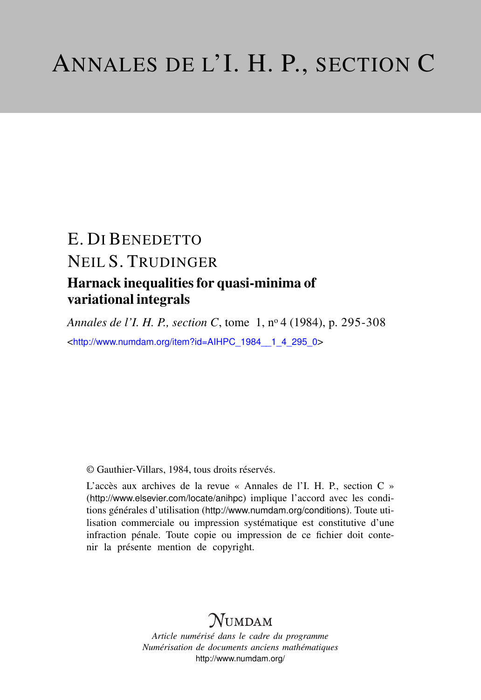# E. DI BENEDETTO NEIL S. TRUDINGER Harnack inequalities for quasi-minima of variational integrals

*Annales de l'I. H. P., section C*, tome 1, n<sup>o</sup> 4 (1984), p. 295-308 <[http://www.numdam.org/item?id=AIHPC\\_1984\\_\\_1\\_4\\_295\\_0](http://www.numdam.org/item?id=AIHPC_1984__1_4_295_0)>

© Gauthier-Villars, 1984, tous droits réservés.

L'accès aux archives de la revue « Annales de l'I. H. P., section C » (<http://www.elsevier.com/locate/anihpc>) implique l'accord avec les conditions générales d'utilisation (<http://www.numdam.org/conditions>). Toute utilisation commerciale ou impression systématique est constitutive d'une infraction pénale. Toute copie ou impression de ce fichier doit contenir la présente mention de copyright.

## $N$ UMDAM

*Article numérisé dans le cadre du programme Numérisation de documents anciens mathématiques* <http://www.numdam.org/>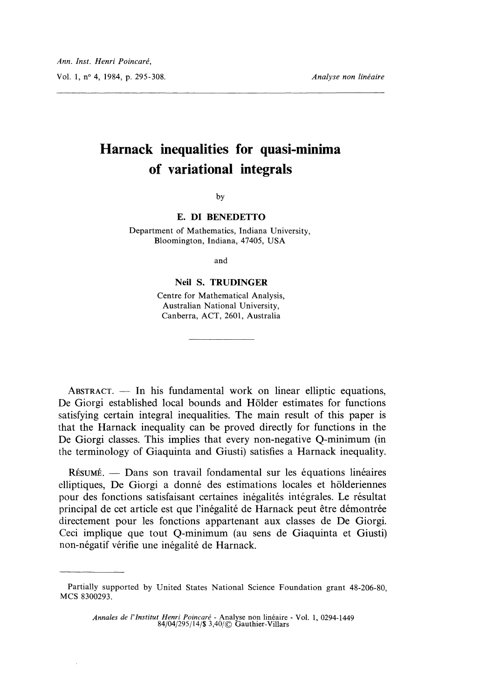## Harnack inequalities for quasi-minima of variational integrals

by

#### E. DI BENEDETTO

Department of Mathematics, Indiana University, Bloomington, Indiana, 47405, USA

and

### Neil S. TRUDINGER

Centre for Mathematical Analysis, Australian National University, Canberra, ACT, 2601, Australia

 $ABSTRACT. - In his fundamental work on linear elliptic equations,$ De Giorgi established local bounds and Holder estimates for functions satisfying certain integral inequalities. The main result of this paper is that the Harnack inequality can be proved directly for functions in the De Giorgi classes. This implies that every non-negative Q-minimum (in the terminology of Giaquinta and Giusti) satisfies a Harnack inequality.

RÉSUMÉ. — Dans son travail fondamental sur les équations linéaires elliptiques, De Giorgi a donne des estimations locales et holderiennes pour des fonctions satisfaisant certaines inégalités intégrales. Le résultat principal de cet article est que l'inégalité de Harnack peut être démontrée directement pour les fonctions appartenant aux classes de De Giorgi. Ceci implique que tout Q-minimum (au sens de Giaquinta et Giusti) non-négatif vérifie une inégalité de Harnack.

Annales de l'Institut Henri Poincaré - Analyse non linéaire - Vol. 1, 0294-1449 84/04/295/14/\$ 3,40/© Gauthier-Villars

Partially supported by United States National Science Foundation grant 48-206-80, MCS 8300293.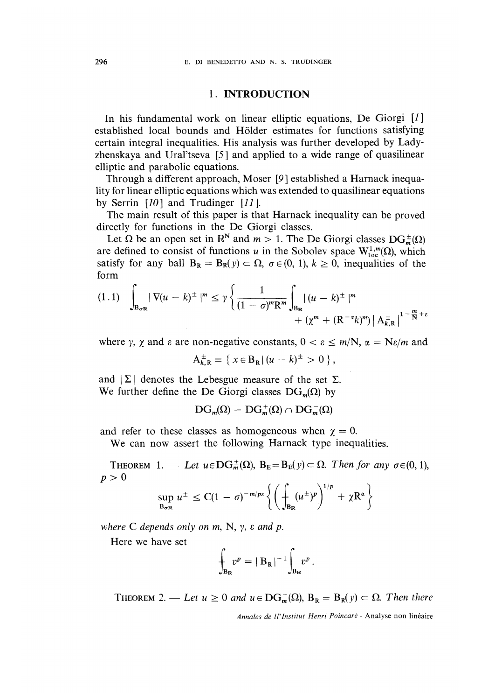### 1. INTRODUCTION

In his fundamental work on linear elliptic equations, De Giorgi  $[I]$ established local bounds and Holder estimates for functions satisfying certain integral inequalities. His analysis was further developed by Ladyzhenskaya and Ural'tseva [5 ] and applied to a wide range of quasilinear elliptic and parabolic equations.

Through a different approach, Moser [9 ] established a Harnack inequality for linear elliptic equations which was extended to quasilinear equations by Serrin  $[10]$  and Trudinger  $[11]$ .

The main result of this paper is that Harnack inequality can be proved directly for functions in the De Giorgi classes.

Let  $\Omega$  be an open set in  $\mathbb{R}^N$  and  $m > 1$ . The De Giorgi classes  $DG_m^{\pm}(\Omega)$ are defined to consist of functions u in the Sobolev space  $W^{1,m}_{loc}(\Omega)$ , which satisfy for any ball  $B_R = B_R(y) \subset \Omega$ ,  $\sigma \in (0, 1)$ ,  $k \ge 0$ , inequalities of the form

$$
(1.1) \quad \int_{\mathbf{B}_{\sigma R}} |\nabla (u-k)^{\pm}|^{m} \leq \gamma \left\{ \frac{1}{(1-\sigma)^{m} \mathbf{R}^{m}} \int_{\mathbf{B}_{\mathbf{R}}} |(u-k)^{\pm}|^{m} + (\chi^{m} + (\mathbf{R}^{-\alpha} k)^{m}) |\mathbf{A}_{k,\mathbf{R}}^{\pm}|^{1-\frac{m}{\mathbf{N}}+\varepsilon} \right\}
$$

where y,  $\gamma$  and  $\varepsilon$  are non-negative constants,  $0 < \varepsilon \le m/N$ ,  $\alpha = N\varepsilon/m$  and

 $A_{k,R}^{\pm} \equiv \{ x \in B_R | (u - k)^{\pm} > 0 \},$ 

and  $|\Sigma|$  denotes the Lebesgue measure of the set  $\Sigma$ . We further define the De Giorgi classes  $DG_m(\Omega)$  by

$$
\text{DG}_m(\Omega) = \text{DG}_m^+(\Omega) \cap \text{DG}_m^-(\Omega)
$$

and refer to these classes as homogeneous when  $\chi = 0$ .

We can now assert the following Harnack type inequalities.

THEOREM 1. — Let  $u \in DG_m^{\pm}(\Omega)$ ,  $B_E = B_E(y) \subset \Omega$ . Then for any  $\sigma \in (0, 1)$ ,  $p>0$  $\epsilon$   $\epsilon$   $\epsilon$   $\epsilon$   $\epsilon$   $\epsilon$   $\epsilon$ 

$$
\sup_{\mathbf{B}_{\sigma R}} u^{\pm} \leq C(1-\sigma)^{-m/p\epsilon} \left\{ \left( \int_{\mathbf{B}_{\mathbf{R}}} (u^{\pm})^p \right)^{1/p} + \chi \mathbf{R}^{\alpha} \right\}
$$

where C depends only on  $m$ , N,  $\gamma$ ,  $\varepsilon$  and  $p$ .

Here we have set

$$
\int_{B_R} v^p = |B_R|^{-1} \int_{B_R} v^p.
$$

THEOREM 2. — Let  $u \ge 0$  and  $u \in DG_m^-(\Omega)$ ,  $B_R = B_R(y) \subset \Omega$ . Then there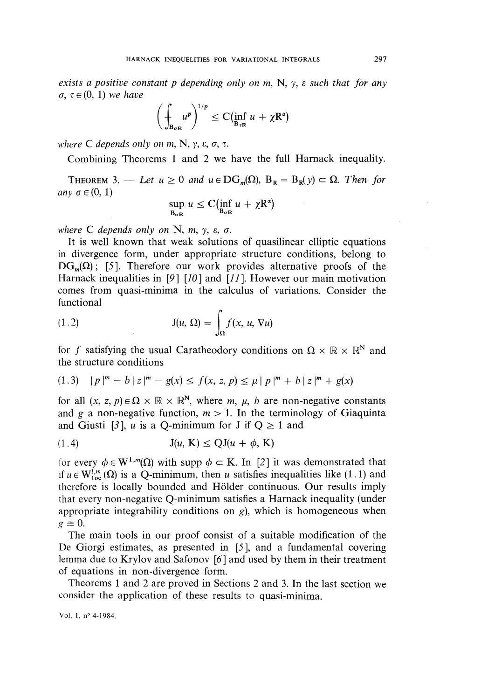exists a positive constant p depending only on m, N,  $\gamma$ ,  $\varepsilon$  such that for any  $\sigma, \tau \in (0, 1)$  we have

$$
\left(\int_{B_{\sigma R}} u^p\right)^{1/p} \leq C(\inf_{B_{\tau R}} u + \chi R^{\alpha})
$$

where C depends only on m, N,  $\gamma$ ,  $\varepsilon$ ,  $\sigma$ ,  $\tau$ .

Combining Theorems 1 and 2 we have the full Harnack inequality.

THEOREM 3. — Let  $u \ge 0$  and  $u \in DG_m(\Omega)$ ,  $B_R = B_R(v) \subset \Omega$ . Then for any  $\sigma \in (0, 1)$ 

$$
\sup_{B_{\sigma R}} u \leq C(\inf_{B_{\sigma R}} u + \chi R^{\alpha})
$$

where C depends only on N, m,  $\gamma$ ,  $\varepsilon$ ,  $\sigma$ .

It is well known that weak solutions of quasilinear elliptic equations in divergence form, under appropriate structure conditions, belong to  $DG_m(\Omega)$ ; [5]. Therefore our work provides alternative proofs of the Harnack inequalities in [9]  $[10]$  and  $[11]$ . However our main motivation comes from quasi-minima in the calculus of variations. Consider the functional

(1.2) 
$$
J(u, \Omega) = \int_{\Omega} f(x, u, \nabla u)
$$

for f satisfying the usual Caratheodory conditions on  $\Omega \times \mathbb{R} \times \mathbb{R}^N$  and the structure conditions

$$
(1.3) \quad |p|^m - b \mid z|^m - g(x) \le f(x, z, p) \le \mu \mid p|^m + b \mid z|^m + g(x)
$$

for all  $(x, z, p) \in \Omega \times \mathbb{R} \times \mathbb{R}^N$ , where m,  $\mu$ , b are non-negative constants and g a non-negative function,  $m > 1$ . In the terminology of Giaquinta and Giusti [3], u is a Q-minimum for J if  $Q \ge 1$  and

$$
J(u, K) \le QJ(u + \phi, K)
$$

for every  $\phi \in W^{1,m}(\Omega)$  with supp  $\phi \subset K$ . In [2] it was demonstrated that if  $u \in W_{loc}^{i,m}(\Omega)$  is a Q-minimum, then u satisfies inequalities like (1.1) and therefore is locally bounded and Holder continuous. Our results imply that every non-negative Q-minimum satisfies a Harnack inequality (under appropriate integrability conditions on  $g$ ), which is homogeneous when  $g \equiv 0$ .

The main tools in our proof consist of a suitable modification of the De Giorgi estimates, as presented in [5], and a fundamental covering lemma due to Krylov and Safonov [6 ] and used by them in their treatment of equations in non-divergence form.

Theorems 1 and 2 are proved in Sections 2 and 3. In the last section we consider the application of these results to quasi-minima.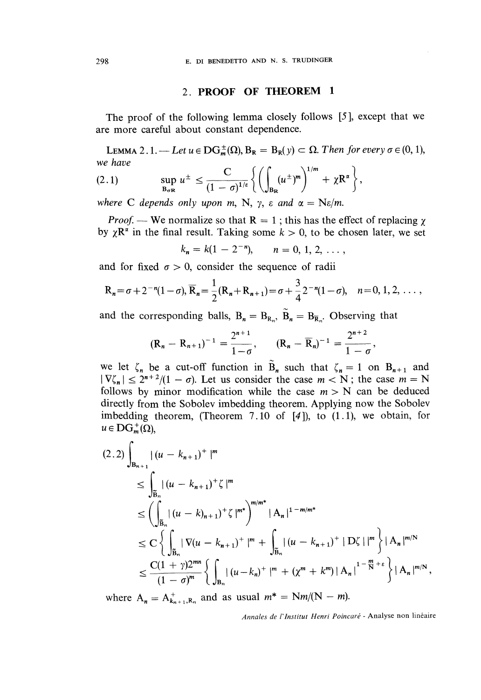#### 2. PROOF OF THEOREM 1

The proof of the following lemma closely follows [5 ], except that we are more careful about constant dependence.

LEMMA 2.1. — Let  $u \in DG_m^{\pm}(\Omega)$ ,  $B_R = B_R(y) \subset \Omega$ . Then for every  $\sigma \in (0, 1)$ , we have

$$
(2.1) \quad \sup_{B_{\sigma R}} u^{\pm} \leq \frac{C}{(1-\sigma)^{1/\varepsilon}} \left\{ \left( \int_{B_{R}} (u^{\pm})^{m} \right)^{1/m} + \chi R^{\alpha} \right\},
$$

where C depends only upon m, N,  $\gamma$ ,  $\varepsilon$  and  $\alpha = \text{Ne/m}$ .

*Proof.* — We normalize so that  $R = 1$ ; this has the effect of replacing  $\chi$ by  $\chi \mathbb{R}^{\alpha}$  in the final result. Taking some  $k > 0$ , to be chosen later, we set

$$
k_n = k(1 - 2^{-n}), \qquad n = 0, 1, 2, \ldots,
$$

and for fixed  $\sigma > 0$ , consider the sequence of radii

$$
R_n = \sigma + 2^{-n}(1-\sigma), \overline{R}_n = \frac{1}{2}(R_n + R_{n+1}) = \sigma + \frac{3}{4}2^{-n}(1-\sigma), \quad n = 0, 1, 2, \ldots,
$$

and the corresponding balls,  $B_n = B_{R_n}$ ,  $\tilde{B}_n = B_{\overline{R}_n}$ . Observing that

$$
(R_n - R_{n+1})^{-1} = \frac{2^{n+1}}{1-\sigma}, \qquad (R_n - \overline{R}_n)^{-1} = \frac{2^{n+2}}{1-\sigma},
$$

we let  $\zeta_n$  be a cut-off function in  $\tilde{B}_n$  such that  $\zeta_n = 1$  on  $B_{n+1}$  and  $|\nabla \zeta_n| \leq 2^{n+2}/(1-\sigma)$ . Let us consider the case  $m < N$ ; the case  $m = N$ follows by minor modification while the case  $m > N$  can be deduced directly from the Sobolev imbedding theorem. Applying now the Sobolev imbedding theorem, (Theorem 7.10 of [4]), to (1.1), we obtain, for  $u \in \mathbf{DG}_{m}^{+}(\Omega),$ 

$$
(2.2) \int_{B_{n+1}} |(u - k_{n+1})^+|^m
$$
  
\n
$$
\leq \int_{\widetilde{B}_n} |(u - k_{n+1})^+ \zeta|^m
$$
  
\n
$$
\leq \left(\int_{\widetilde{B}_n} |(u - k)_{n+1}|^+ \zeta^m \right)^{m/m^*} |A_n|^{1-m/m^*}
$$
  
\n
$$
\leq C \left\{ \int_{\widetilde{B}_n} |\nabla (u - k_{n+1})^+|^m + \int_{\widetilde{B}_n} |(u - k_{n+1})^+| D\zeta^+|^m \right\} |A_n|^{m/N}
$$
  
\n
$$
\leq \frac{C(1+\gamma)2^{mn}}{(1-\sigma)^m} \left\{ \int_{B_n} |(u - k_n)^+|^m + (\chi^m + k^m) |A_n|^{1-\frac{m}{N}+\varepsilon} \right\} |A_n|^{m/N},
$$

where  $A_n = A_{k_{n+1},R_n}^+$  and as usual  $m^* = Nm/(N - m)$ .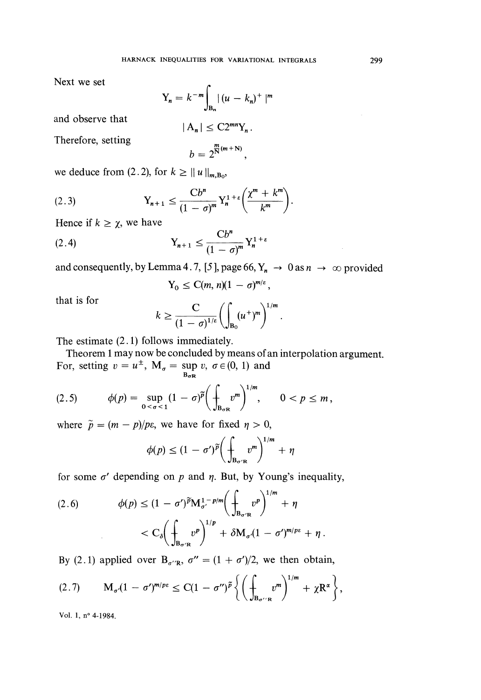Next we set

$$
Y_n = k^{-m} \int_{B_n} |(u - k_n)^+|^{m}
$$

and observe that

Therefore, setting

 $b = 2^{\frac{m}{N}(m+N)},$ 

 $|A_n| \leq C2^{mn}Y_n$ .

we deduce from (2.2), for  $k \ge ||u||_{m.B_0}$ ,

$$
(2.3) \t\t Y_{n+1} \leq \frac{Cb^n}{(1-\sigma)^m} Y_n^{1+\varepsilon} \bigg(\frac{\chi^m + k^m}{k^m}\bigg).
$$

Hence if  $k \geq \chi$ , we have

$$
\text{(2.4)} \quad \mathbf{Y}_{n+1} \le \frac{\mathbf{C}b^n}{(1-\sigma)^m} \mathbf{Y}_n^{1+\varepsilon}
$$

and consequently, by Lemma 4.7, [5], page 66,  $Y_n \to 0$  as  $n \to \infty$  provided

$$
Y_0 \leq C(m, n)(1 - \sigma)^{m/\varepsilon},
$$

that is for

$$
k \geq \frac{C}{(1-\sigma)^{1/\varepsilon}} \bigg( \int_{B_0} (u^+)^m \bigg)^{1/m}.
$$

The estimate (2.1) follows immediately.

Theorem 1 may now be concluded by means of an interpolation argument. For, setting  $v = u^{\pm}$ ,  $M_{\sigma} = \sup_{B_{\sigma}R} v$ ,  $\sigma \in (0, 1)$  and

(2.5) 
$$
\phi(p) = \sup_{0 < \sigma < 1} (1 - \sigma)^{\widetilde{p}} \bigg( \int_{B_{\sigma R}} v^m \bigg)^{1/m}, \qquad 0 < p \leq m,
$$

where  $\tilde{p} = (m - p)/p\epsilon$ , we have for fixed  $\eta > 0$ ,

$$
\phi(p) \leq (1 - \sigma')^{\widetilde{p}} \bigg( \int_{B_{\sigma' R}} v^m \bigg)^{1/m} + \eta
$$

for some  $\sigma'$  depending on p and  $\eta$ . But, by Young's inequality,

$$
(2.6) \qquad \phi(p) \le (1 - \sigma')^{\widetilde{p}} \mathbf{M}_{\sigma'}^{1 - p/m} \bigg( \int_{\mathbf{B}_{\sigma' \mathbf{R}}} v^p \bigg)^{1/m} + \eta
$$

$$
< C_{\delta} \bigg( \int_{\mathbf{B}_{\sigma' \mathbf{R}}} v^p \bigg)^{1/p} + \delta \mathbf{M}_{\sigma'} (1 - \sigma')^{m/p\epsilon} + \eta
$$

By (2.1) applied over  $B_{\sigma''R}$ ,  $\sigma'' = (1 + \sigma')/2$ , we then obtain,

$$
(2.7) \qquad M_{\sigma'}(1-\sigma')^{m/p\epsilon} \leq C(1-\sigma'')^{\widetilde{p}}\left\{\left(\int_{B_{\sigma''R}} v^m\right)^{1/m} + \chi R^{\alpha}\right\},\,
$$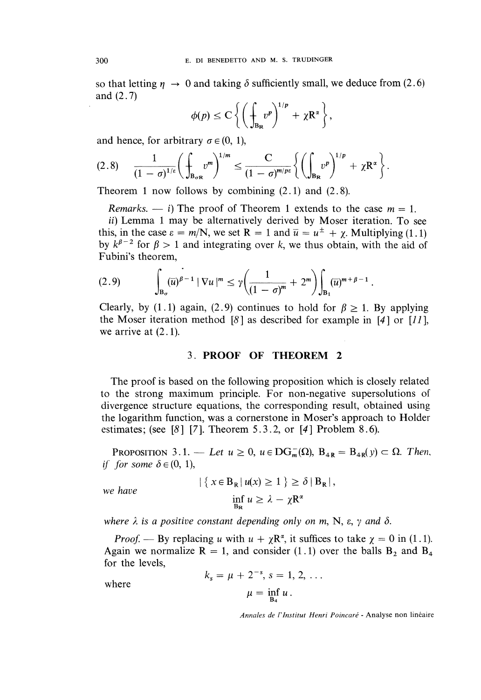so that letting  $\eta \rightarrow 0$  and taking  $\delta$  sufficiently small, we deduce from (2.6) and (2.7)

$$
\phi(p) \leq C \left\{ \left( \int_{B_R} v^p \right)^{1/p} + \chi R^{\alpha} \right\},\
$$

and hence, for arbitrary  $\sigma \in (0, 1)$ ,

$$
(2.8) \qquad \frac{1}{(1-\sigma)^{1/\varepsilon}} \bigg( \int_{B_{\sigma R}} v^m \bigg)^{1/m} \leq \frac{C}{(1-\sigma)^{m/p\varepsilon}} \bigg\{ \bigg( \int_{B_R} v^p \bigg)^{1/p} + \chi R^{\alpha} \bigg\}.
$$

Theorem 1 now follows by combining (2.1) and (2.8).

Remarks.  $\frac{1}{1}$  The proof of Theorem 1 extends to the case  $m = 1$ .

ii) Lemma 1 may be alternatively derived by Moser iteration. To see this, in the case  $\varepsilon = m/N$ , we set  $R = 1$  and  $\overline{u} = u^{\pm} + \chi$ . Multiplying (1.1) by  $k^{\beta-2}$  for  $\beta > 1$  and integrating over k, we thus obtain, with the aid of Fubini's theorem,

$$
(2.9) \qquad \int_{\mathbf{B}_{\sigma}} (\overline{u})^{\beta-1} \left| \nabla u \right|^m \leq \gamma \bigg( \frac{1}{(1-\sigma)^m} + 2^m \bigg) \int_{\mathbf{B}_1} (\overline{u})^{m+\beta-1} \, .
$$

Clearly, by (1.1) again, (2.9) continues to hold for  $\beta \geq 1$ . By applying the Moser iteration method [8] as described for example in [4] or [11], we arrive at (2.1).

### 3. PROOF OF THEOREM 2

The proof is based on the following proposition which is closely related to the strong maximum principle. For non-negative supersolutions of divergence structure equations, the corresponding result, obtained using the logarithm function, was a cornerstone in Moser's approach to Holder estimates; (see  $[8]$  [7]. Theorem 5.3.2, or [4] Problem 8.6).

PROPOSITION 3.1. -- Let  $u \ge 0$ ,  $u \in DG<sub>m</sub><sup>-</sup>(\Omega)$ ,  $B<sub>4R</sub> = B<sub>4R</sub>(y) \subset \Omega$ . Then, if for some  $\delta \in (0, 1)$ ,

we have

$$
|\{x \in B_{R} | u(x) \ge 1\} \ge \delta | B_{R} |,
$$
  
inf<sub>Bo</sub>  $u \ge \lambda - \chi R^{\alpha}$ 

where  $\lambda$  is a positive constant depending only on m, N,  $\varepsilon$ ,  $\gamma$  and  $\delta$ .

*Proof.* — By replacing u with  $u + \chi R^{\alpha}$ , it suffices to take  $\chi = 0$  in (1.1). Again we normalize  $R = 1$ , and consider (1.1) over the balls  $B_2$  and  $B_4$ for the levels,

where

$$
k_s = \mu + 2^{-s}, s = 1, 2, ...
$$
  
 $\mu = \inf_{B_4} u.$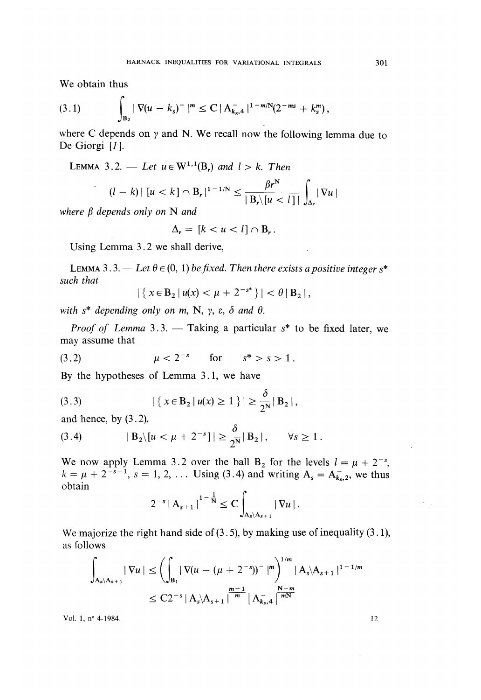We obtain thus

$$
(3.1) \qquad \qquad \int_{B_2} |\nabla (u - k_s)^{-}|^{m} \leq C |A_{k_s,4}^{-}|^{1-m/N} (2^{-ms} + k_s^{m}),
$$

where C depends on  $\gamma$  and N. We recall now the following lemma due to De Giorgi [1].

LEMMA 3.2. — Let 
$$
u \in W^{1,1}(B_r)
$$
 and  $l > k$ . Then  
\n
$$
(l - k) | [u < k] \cap B_r|^{1-1/N} \leq \frac{\beta r^N}{|B_r| [u < l]|} \int_{\Delta_r} |\nabla u|
$$

where  $\beta$  depends only on N and

$$
\Delta_r = [k < u < l] \cap B_r \, .
$$

Using Lemma 3.2 we shall derive,

LEMMA 3.3. - Let  $\theta \in (0, 1)$  be fixed. Then there exists a positive integer s<sup>\*</sup> such that

$$
\{x \in B_2 \mid u(x) < \mu + 2^{-s^*}\} \mid < \theta \mid B_2 \mid,
$$

with  $s^*$  depending only on m, N,  $\gamma$ ,  $\varepsilon$ ,  $\delta$  and  $\theta$ .

*Proof of Lemma* 3.3. — Taking a particular  $s^*$  to be fixed later, we may assume that

(3.2) 
$$
\mu < 2^{-s}
$$
 for  $s^* > s > 1$ .

By the hypotheses of Lemma 3.1, we have

(3.3) 
$$
|\{x \in B_2 | u(x) \ge 1\}| \ge \frac{\delta}{2^N} |B_2|,
$$

and hence, by  $(3.2)$ ,

(3.4) 
$$
|B_2| [u < \mu + 2^{-s}]| \ge \frac{\delta}{2^N} |B_2|, \quad \forall s \ge 1.
$$

We now apply Lemma 3.2 over the ball B<sub>2</sub> for the levels  $l = \mu + 2^{-s}$ ,  $k = \mu + 2^{-s - 1}$ , s = 1, 2, ... Using (3.4) and writing  $A_s = A_{k_s, 2}$ , we thus obtain

$$
2^{-s} |A_{s+1}|^{1-\frac{1}{N}} \leq C \int_{A_s \setminus A_{s+1}} |\nabla u| \, .
$$

We majorize the right hand side of  $(3.5)$ , by making use of inequality  $(3.1)$ , as follows

$$
\int_{A_s \setminus A_{s+1}} |\nabla u| \le \left( \int_{B_1} |\nabla (u - (\mu + 2^{-s}))^{-}|^m \right)^{1/m} |A_s \setminus A_{s+1}|^{1-1/m}
$$
  

$$
\le C2^{-s} |A_s \setminus A_{s+1}|^{\frac{m-1}{m}} |A_{s,s}^{-}|^{\frac{N-m}{mN}}
$$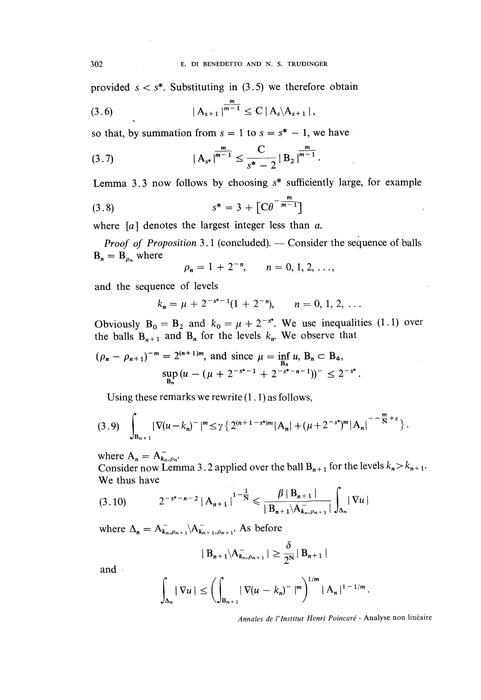provided  $s < s^*$ . Substituting in (3.5) we therefore obtain

$$
(3.6) \t\t |A_{s+1}|^{\frac{m}{m-1}} \leq C |A_s \setminus A_{s+1}|,
$$

so that, by summation from  $s = 1$  to  $s = s^* - 1$ , we have

$$
(3.7) \t\t\t |A_{s^*}|^{\frac{m}{m-1}} \leq \frac{C}{s^*-2} |B_2|^{\frac{m}{m-1}}.
$$

Lemma 3.3 now follows by choosing  $s^*$  sufficiently large, for example

(3.8) 
$$
s^* = 3 + [C\theta^{-\frac{m}{m-1}}]
$$

where  $[a]$  denotes the largest integer less than a.

*Proof of Proposition* 3.1 (concluded). — Consider the sequence of balls  $B_n = B_{\rho_n}$  where

$$
\rho_n = 1 + 2^{-n}, \qquad n = 0, 1, 2, \ldots,
$$

and the sequence of levels

$$
k_n = \mu + 2^{-s^{*}-1}(1+2^{-n}), \qquad n = 0, 1, 2, ...
$$

Obviously  $B_0 = B_2$  and  $k_0 = \mu + 2^{-s^*}$ . We use inequalities (1.1) over the balls  $B_{n+1}$  and  $B_n$  for the levels  $k_n$ . We observe that

$$
(\rho_n - \rho_{n+1})^{-m} = 2^{(n+1)m}, \text{ and since } \mu = \inf_{B_4} u, B_n \subset B_4,
$$
  

$$
\sup_{B_n} (u - (\mu + 2^{-s^* - 1} + 2^{-s^* - n - 1}))^{-} \le 2^{-s^*}.
$$

Using these remarks we rewrite (1.1) as follows,

$$
(3.9) \quad \int_{B_{n+1}} |\nabla (u-k_n)^{-}|^m \leq \gamma \left\{ 2^{(n+1-s^*)m} |A_n| + (\mu + 2^{-s^*})^m |A_n|^{-\frac{m}{s}+s} \right\}.
$$

where  $A_n = A_{k_n, \rho_n}^-$ .

Consider now Lemma 3.2 applied over the ball  $B_{n+1}$  for the levels  $k_n > k_{n+1}$ . We thus have

$$
(3.10) \t2^{-s^*-n-2} |A_{n+1}|^{1-\frac{1}{N}} \leq \frac{\beta |B_{n+1}|}{|B_{n+1} \setminus A_{k_n,\rho_{n+1}}|} \int_{\Delta_n} |\nabla u|
$$

where  $\Delta_n = A_{k_n, \rho_{n+1}}^- \setminus A_{k_{n+1}, \rho_{n+1}}^-$ . As before

$$
|B_{n+1} \setminus A_{k_n, \rho_{n+1}}^-| \geq \frac{\delta}{2^N} |B_{n+1}|
$$

and

$$
\int_{\Delta_n} |\nabla u| \le \left( \int_{B_{n+1}} |\nabla (u - k_n)^{-}|^m \right)^{1/m} |A_n|^{1-1/m}
$$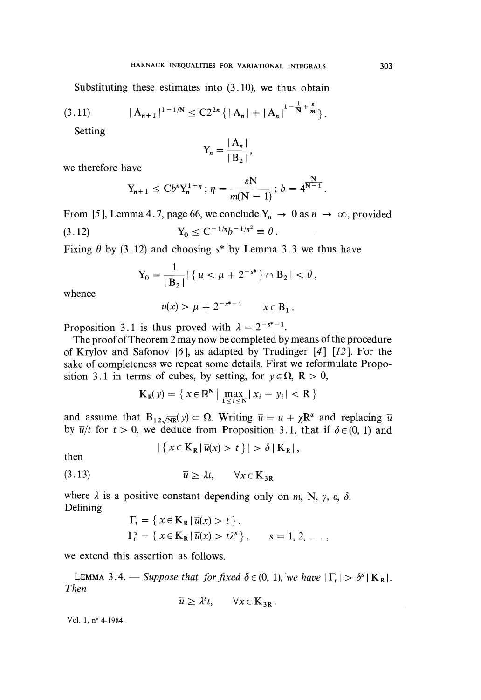Substituting these estimates into (3.10), we thus obtain

$$
(3.11) \t|A_{n+1}|^{1-1/N} \leq C2^{2n} \{ |A_n| + |A_n|^{1-\frac{1}{N}+\frac{\varepsilon}{m}} \}.
$$

Setting

$$
Y_n = \frac{|A_n|}{|B_2|},
$$

we therefore have

$$
Y_{n+1} \le Cb^n Y_n^{1+\eta} \, ; \, \eta = \frac{\varepsilon N}{m(N-1)} \, ; \, b = 4^{\frac{N}{N-1}}
$$

From [5], Lemma 4.7, page 66, we conclude  $Y_n \to 0$  as  $n \to \infty$ , provided (3.12)<br>  $Y_0 \le C^{-1/\eta} b^{-1/\eta^2} \equiv \theta$ .  $(3.12)$ 

Fixing  $\theta$  by (3.12) and choosing s<sup>\*</sup> by Lemma 3.3 we thus have

$$
Y_0 = \frac{1}{|B_2|} |\{u < \mu + 2^{-s^*}\} \cap B_2| < \theta,
$$

whence

$$
u(x) > \mu + 2^{-s^*-1}
$$
  $x \in B_1$ .

Proposition 3.1 is thus proved with  $\lambda = 2^{-s^* - 1}$ .

The proof of Theorem 2 may now be completed by means of the procedure of Krylov and Safonov [6], as adapted by Trudinger [4] [12]. For the sake of completeness we repeat some details. First we reformulate Proposition 3.1 in terms of cubes, by setting, for  $y \in \Omega$ ,  $\mathbb{R} > 0$ ,

$$
\mathbf{K}_{\mathbf{R}}(y) = \left\{ \left. x \in \mathbb{R}^{\mathbf{N}} \right| \max_{1 \le i \le \mathbf{N}} \left| x_i - y_i \right| < \mathbf{R} \right\}
$$

and assume that  $B_{12\sqrt{NR}}(y) \subset \Omega$ . Writing  $\bar{u} = u + \chi R^{\alpha}$  and replacing  $\bar{u}$ by  $\overline{u}/t$  for  $t > 0$ , we deduce from Proposition 3.1, that if  $\delta \in (0, 1)$  and

$$
|\left\{x \in \mathbf{K}_{\mathbf{R}} | \overline{u}(x) > t\right\}| > \delta \left| \mathbf{K}_{\mathbf{R}} \right|,
$$

then

$$
\overline{u} \ge \lambda t, \qquad \forall x \in \mathbf{K}_{3R}
$$

where  $\lambda$  is a positive constant depending only on m, N,  $\gamma$ ,  $\varepsilon$ ,  $\delta$ . Defining

$$
\Gamma_t = \{ x \in \mathbf{K}_{\mathbf{R}} | \overline{u}(x) > t \},
$$
\n
$$
\Gamma_t^s = \{ x \in \mathbf{K}_{\mathbf{R}} | \overline{u}(x) > t \lambda^s \}, \qquad s = 1, 2, \dots,
$$

we extend this assertion as follows.

LEMMA 3.4. – Suppose that for fixed  $\delta \in (0, 1)$ , we have  $|\Gamma_t| > \delta^s |K_R|$ . Then

$$
\overline{u} \geq \lambda^s t, \qquad \forall x \in \mathbf{K}_{3R}.
$$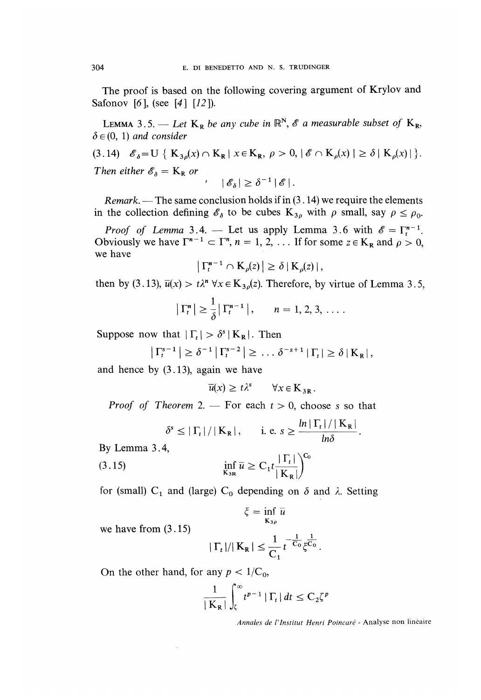The proof is based on the following covering argument of Krylov and Safonov [6], (see [4] [12]).

LEMMA 3.5. - Let  $K_R$  be any cube in  $\mathbb{R}^N$ ,  $\mathscr E$  a measurable subset of  $K_R$ ,  $\delta \in (0, 1)$  and consider

(3.14)  $\mathscr{E}_{\delta} = U \{ K_{3\delta}(x) \cap K_{R} \mid x \in K_{R}, \rho > 0, |\mathscr{E} \cap K_{\rho}(x)| \ge \delta | K_{\rho}(x)| \}.$ Then either  $\mathscr{E}_{\delta} = K_{R}$  or '  $|\mathscr{E}_{\delta}| \geq \delta^{-1} |\mathscr{E}|$ .

*Remark.* — The same conclusion holds if in (3.14) we require the elements in the collection defining 
$$
\mathscr{E}_{\delta}
$$
 to be cubes  $K_{3\rho}$  with  $\rho$  small, say  $\rho \leq \rho_0$ .

*Proof of Lemma* 3.4. — Let us apply Lemma 3.6 with  $\mathscr{E} = \Gamma_t^{n-1}$ . Obviously we have  $\Gamma^{n-1} \subset \Gamma^n$ ,  $n = 1, 2, \ldots$  If for some  $z \in K_R$  and  $\rho > 0$ , we have

$$
\left|\,\Gamma_t^{n-1}\cap\mathrm{K}_{\rho}(z)\,\right|\geq\delta\,\left|\,\mathrm{K}_{\rho}(z)\,\right|,
$$

then by (3.13),  $\overline{u}(x) > t\lambda^n \forall x \in K_{3\rho}(z)$ . Therefore, by virtue of Lemma 3.5,

$$
\left|\,\Gamma^n_t\,\right| \geq \frac{1}{\delta}\,\left|\,\Gamma^{n-1}_t\,\right|, \qquad n=1,2,3,\ldots.
$$

Suppose now that  $|\Gamma_t| > \delta^s |K_R|$ . Then

$$
\left|\,\Gamma_t^{s-1}\,\right| \geq \delta^{-1}\left|\,\Gamma_t^{s-2}\,\right| \geq \ldots \delta^{-s+1}\left|\,\Gamma_t\,\right| \geq \delta\left|\,K_R\,\right|,
$$

and hence by (3.13), again we have

$$
\overline{u}(x) \ge t\lambda^s \qquad \forall x \in \mathbf{K}_{3R}
$$

*Proof of Theorem* 2. — For each  $t > 0$ , choose s so that

$$
\delta^s \leq |\Gamma_t| / |K_R|, \qquad \text{i. e. } s \geq \frac{\ln |\Gamma_t| / |K_R|}{\ln \delta}
$$

By Lemma 3.4,

(3.15) 
$$
\inf_{\mathbf{K}_{3R}} \overline{u} \geq C_1 t \frac{|\Gamma_t|}{|\mathbf{K}_R|}^{\mathbf{C}_0}
$$

for (small)  $C_1$  and (large)  $C_0$  depending on  $\delta$  and  $\lambda$ . Setting

$$
\xi = \inf_{\mathbf{K}_{3\rho}} \bar{u}
$$

we have from  $(3.15)$ 

$$
|\Gamma_t|/|K_R| \leq \frac{1}{C_1} t^{-\frac{1}{C_0}} \xi^{\frac{1}{C_0}}.
$$

On the other hand, for any  $p < 1/C_0$ ,

$$
\frac{1}{|K_{R}|}\int_{\zeta}^{\infty}t^{p-1}|\Gamma_{t}|dt \leq C_{2}\zeta^{p}
$$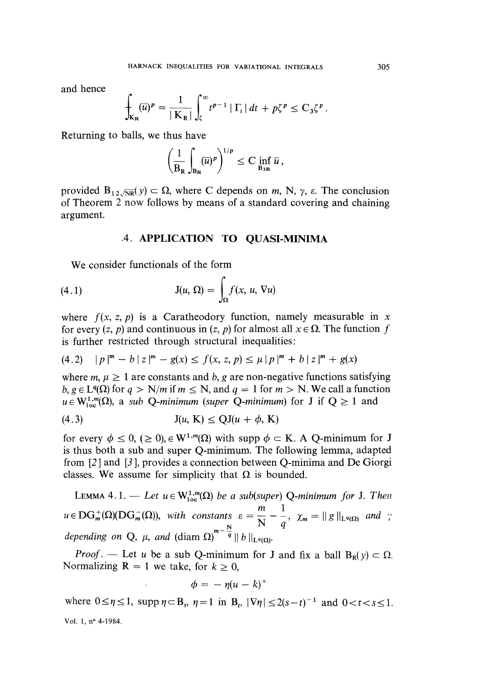and hence

$$
\int_{\mathbf{K}_{\mathbf{R}}} (\overline{u})^p = \frac{1}{|\mathbf{K}_{\mathbf{R}}|} \int_{\zeta}^{\infty} t^{p-1} |\Gamma_t| dt + p \zeta^p \leq C_3 \zeta^p.
$$

Returning to balls, we thus have

$$
\left(\frac{1}{B_R}\int_{B_R}(\overline{u})^p\right)^{1/p}\leq C\inf_{B_{3R}}\overline{u}\,,
$$

provided  $B_{12\sqrt{NR}}(y) \subset \Omega$ , where C depends on m, N,  $\gamma$ ,  $\varepsilon$ . The conclusion of Theorem 2 now follows by means of a standard covering and chaining argument.

## .4. APPLICATION TO QUASI-MINIMA

We consider functionals of the form

(4.1) 
$$
J(u, \Omega) = \int_{\Omega} f(x, u, \nabla u)
$$

where  $f(x, z, p)$  is a Caratheodory function, namely measurable in x for every  $(z, p)$  and continuous in  $(z, p)$  for almost all  $x \in \Omega$ . The function f is further restricted through structural inequalities:

$$
(4.2) \quad |p|^m - b \mid z|^m - g(x) \le f(x, z, p) \le \mu \mid p|^m + b \mid z|^m + g(x)
$$

where  $m, \mu \geq 1$  are constants and b, g are non-negative functions satisfying  $b, g \in L^q(\Omega)$  for  $q > N/m$  if  $m \le N$ , and  $q = 1$  for  $m > N$ . We call a function  $u \in W^{1,m}_{loc}(\Omega)$ , a sub Q-minimum (super Q-minimum) for J if  $Q \ge 1$  and

$$
J(u, K) \le QJ(u + \phi, K)
$$

for every  $\phi \le 0$ ,  $(\ge 0)$ ,  $\in W^{1,m}(\Omega)$  with supp  $\phi \subset K$ . A Q-minimum for J is thus both a sub and super Q-minimum. The following lemma, adapted from [2 ] and [3 ], provides a connection between Q-minima and De Giorgi classes. We assume for simplicity that  $\Omega$  is bounded.

LEMMA 4.1. — Let  $u \in W^{1,m}_{loc}(\Omega)$  be a sub(super) Q-minimum for J. Then  $u \in \text{DG}_m^+(\Omega)(\text{DG}_m^-(\Omega))$ , with constants  $\varepsilon = \frac{m}{N} - \frac{1}{q}$ ,  $\chi_m = ||g||_{\text{L}^q(\Omega)}$  and ; depending on Q,  $\mu$ , and  $(\text{diam }\Omega)^{m-q} \parallel b \parallel_{\text{L}}$ 

*Proof.* — Let u be a sub Q-minimum for J and fix a ball  $B_R(y) \subset \Omega$ . Normalizing  $R = 1$  we take, for  $k \ge 0$ ,

$$
\phi = -\eta (u-k)^+
$$

where  $0 \le \eta \le 1$ , supp  $\eta \subset B_s$ ,  $\eta = 1$  in  $B_t$ ,  $|\nabla \eta| \le 2(s - t)^{-1}$  and  $0 < t < s \le 1$ . Vol. l, n° 4-1984.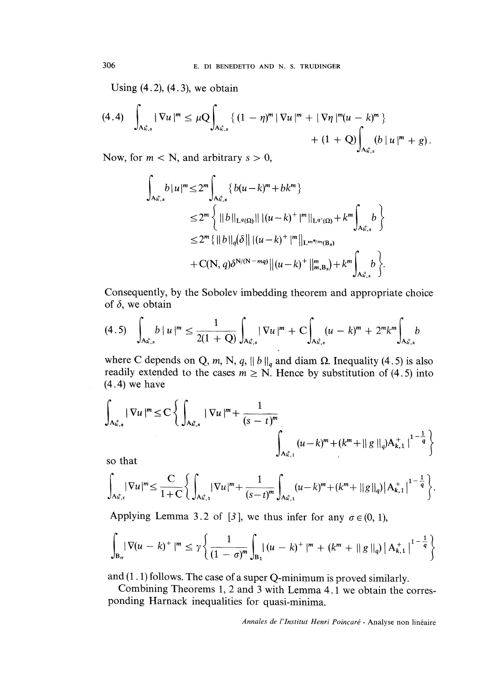Using  $(4.2)$ ,  $(4.3)$ , we obtain

$$
(4.4) \quad \int_{A_{\kappa,s}^+} |\nabla u|^m \leq \mu Q \int_{A_{\kappa,s}^+} \left\{ (1 - \eta)^m |\nabla u|^m + |\nabla \eta|^m (u - k)^m \right\} + (1 + Q) \int_{A_{\kappa,s}^+} (b \, |u|^m + g).
$$

Now, for  $m < N$ , and arbitrary  $s > 0$ ,

$$
\int_{A_{K,s}^{+}} b|u|^{m} \leq 2^{m} \int_{A_{K,s}^{+}} \{b(u-k)^{m} + bk^{m}\}
$$
  
\n
$$
\leq 2^{m} \left\{ ||b||_{L^{q}(\Omega)}|| |(u-k)^{+}|^{m}||_{L^{q'}(\Omega)} + k^{m} \int_{A_{K,s}^{+}} b \right\}
$$
  
\n
$$
\leq 2^{m} \{ ||b||_{q} (\delta || |(u-k)^{+}|^{m}||_{L^{m^{*}/m}(B_{s})}
$$
  
\n
$$
+ C(N, q) \delta^{N/(N-mq)} ||(u-k)^{+}||_{m,B_{s}}^{m} + k^{m} \int_{A_{K,s}^{+}} b \}.
$$

Consequently, by the Sobolev imbedding theorem and appropriate choice of  $\delta$ , we obtain

$$
(4.5) \quad \int_{A_{\kappa,s}^+} b \, | \, u \, |^m \leq \frac{1}{2(1+Q)} \int_{A_{\kappa,s}^+} |\, \nabla u \, |^m + C \int_{A_{\kappa,s}^+} (u - k)^m + 2^m k^m \int_{A_{\kappa,s}^+} b
$$

where C depends on Q, m, N, q,  $||b||_q$  and diam  $\Omega$ . Inequality (4.5) is also readily extended to the cases  $m \ge N$ . Hence by substitution of (4.5) into (4.4) we have

$$
\int_{A_{k,s}^+} |\nabla u|^m \leq C \left\{ \int_{A_{k,s}^+} |\nabla u|^m + \frac{1}{(s-t)^m} \right\}_{A_{k,1}^+} (u-k)^m + (k^m + ||g||_q) A_{k,1}^+ \Big|^{1-\frac{1}{q}} \right\}
$$
so that

so that

$$
\int_{A_{\kappa,t}^+} |\nabla u|^m \leq \frac{C}{1+C} \Bigg\{ \int_{A_{\kappa,t}^+} |\nabla u|^m + \frac{1}{(s-t)^m} \int_{A_{\kappa,t}^+} (u-k)^m + (k^m + ||g||_q) |A_{k,1}^+|^{1-\frac{1}{q}} \Bigg\}.
$$

Applying Lemma 3.2 of [3], we thus infer for any  $\sigma \in (0, 1)$ ,

$$
\int_{B_{\sigma}} |\nabla (u - k)^+|^m \leq \gamma \left\{ \frac{1}{(1 - \sigma)^m} \int_{B_1} |(u - k)^+|^m + (k^m + ||g||_q) |A_{k,1}^+|^{1 - \frac{1}{q}} \right\}
$$

and  $(1.1)$  follows. The case of a super Q-minimum is proved similarly.<br>Combining Theorems 1, 2 and 3 with Lemma 4.1 we obtain the corresponding Harnack inequalities for quasi-minima.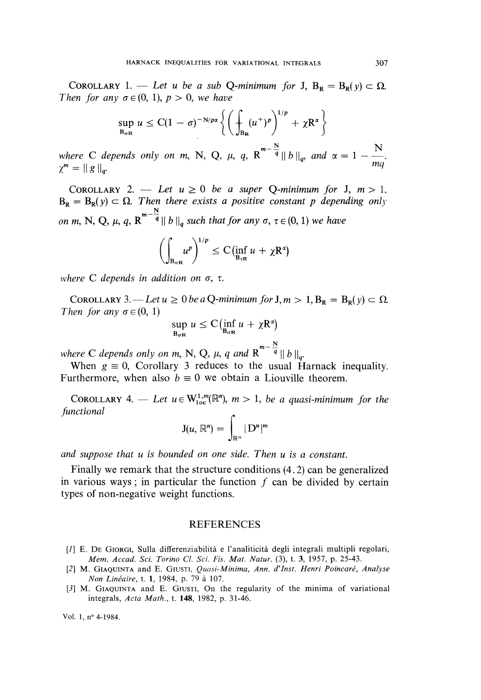COROLLARY 1. — Let u be a sub Q-minimum for J,  $B_R = B_R(y) \subset \Omega$ . Then for any  $\sigma \in (0, 1)$ ,  $p > 0$ , we have

$$
\sup_{B_{\sigma R}} u \leq C(1-\sigma)^{-N/p\alpha} \left\{ \left( \int_{B_R} (u^+)^p \right)^{1/p} + \chi R^{\alpha} \right\}
$$

where C depends only on m, N, Q,  $\mu$ ,  $q$ ,  $R^{m-\frac{N}{q}} \|b\|_q$ , and  $\alpha = 1 - \frac{N}{mq}$  $\chi^m = ||g||_q.$  mg

COROLLARY 2. - Let  $u \ge 0$  be a super Q-minimum for J,  $m > 1$ ,  $B_R = B_R(y) \subset \Omega$ . Then there exists a positive constant p depending only on m, N, Q,  $\mu$ , q, R<sup>m  $-\frac{N}{q}$ </sup>  $||b||_q$  such that for any  $\sigma$ ,  $\tau \in (0, 1)$  we have

$$
\left(\int_{B_{\sigma R}} u^p\right)^{1/p} \leq C(\inf_{B_{\tau R}} u + \chi R^{\alpha})
$$

where C depends in addition on  $\sigma$ ,  $\tau$ .

COROLLARY 3. — Let  $u \ge 0$  be a Q-minimum for  $J, m > 1$ ,  $B_R = B_R(v) \subset \Omega$ . Then for any  $\sigma \in (0, 1)$ 

$$
\sup_{B_{\sigma R}} u \leq C \bigl( \inf_{B_{\sigma R}} u + \chi R^{\alpha} \bigr)
$$

where C depends only on m, N, Q,  $\mu$ , q and  $R^{m-\frac{N}{q}}||b||_q$ .

When  $g \equiv 0$ , Corollary 3 reduces to the usual Harnack inequality. Furthermore, when also  $b \equiv 0$  we obtain a Liouville theorem.

COROLLARY 4. — Let  $u \in W^{1,m}_{loc}(\mathbb{R}^n)$ ,  $m > 1$ , be a quasi-minimum for the functional

$$
J(u, \mathbb{R}^n) = \int_{\mathbb{R}^n} |D^u|^m
$$

and suppose that u is bounded on one side. Then u is a constant.

Finally we remark that the structure conditions (4. 2) can be generalized in various ways; in particular the function  $f$  can be divided by certain types of non-negative weight functions.

#### REFERENCES

- [1] E. DE GIORGI, Sulla differenziabilità e l'analiticità degli integrali multipli regolari, Mem. Accad. Sci. Torino Cl. Sci. Fis. Mat. Natur. (3), t. 3, 1957, p. 25-43.
- [2] M. GIAQUINTA and E. GIUSTI, Quasi-Minima, Ann. d'Inst. Henri Poincaré, Analyse Non Linéaire, t. 1, 1984, p. 79 à 107.
- [3] M. GIAQUINTA and E. GIUSTI, On the regularity of the minima of variational integrals, Acta Math., t. 148, 1982, p. 31-46.